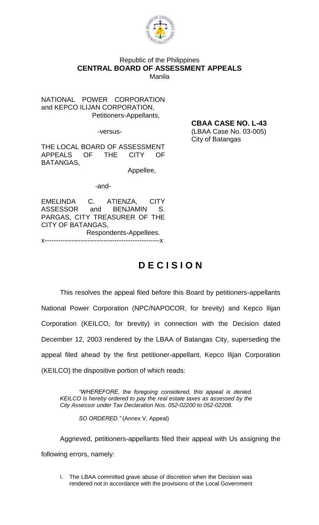

### Republic of the Philippines **CENTRAL BOARD OF ASSESSMENT APPEALS** Manila

NATIONAL POWER CORPORATION and KEPCO ILIJAN CORPORATION, Petitioners-Appellants,

THE LOCAL BOARD OF ASSESSMENT APPEALS OF THE CITY OF BATANGAS,

Appellee,

-and-

EMELINDA C. ATIENZA, CITY<br>ASSESSOR and BENJAMIN S. ASSESSOR and BENJAMIN S. PARGAS, CITY TREASURER OF THE CITY OF BATANGAS, Respondents-Appellees. x---------------------------------------------------x

# **D E C I S I O N**

This resolves the appeal filed before this Board by petitioners-appellants National Power Corporation (NPC/NAPOCOR, for brevity) and Kepco Ilijan Corporation (KEILCO, for brevity) in connection with the Decision dated December 12, 2003 rendered by the LBAA of Batangas City, superseding the appeal filed ahead by the first petitioner-appellant, Kepco Ilijan Corporation (KEILCO) the dispositive portion of which reads:

*"WHEREFORE, the foregoing considered, this appeal is denied. KEILCO is hereby ordered to pay the real estate taxes as assessed by the City Assessor under Tax Declaration Nos. 052-02200 to 052-02208.*

*SO ORDERED."* (Annex V, Appeal)

Aggrieved, petitioners-appellants filed their appeal with Us assigning the following errors, namely:

I. The LBAA committed grave abuse of discretion when the Decision was rendered not in accordance with the provisions of the Local Government

**CBAA CASE NO. L-43**

-versus- (LBAA Case No. 03-005) City of Batangas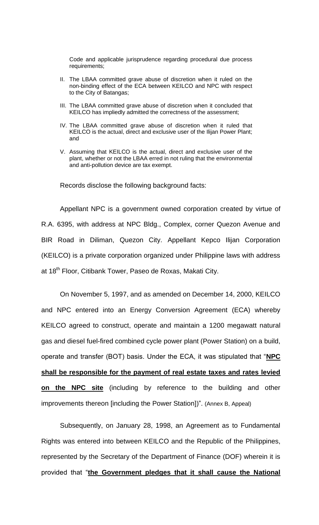Code and applicable jurisprudence regarding procedural due process requirements;

- II. The LBAA committed grave abuse of discretion when it ruled on the non-binding effect of the ECA between KEILCO and NPC with respect to the City of Batangas;
- III. The LBAA committed grave abuse of discretion when it concluded that KEILCO has impliedly admitted the correctness of the assessment;
- IV. The LBAA committed grave abuse of discretion when it ruled that KEILCO is the actual, direct and exclusive user of the Ilijan Power Plant; and
- V. Assuming that KEILCO is the actual, direct and exclusive user of the plant, whether or not the LBAA erred in not ruling that the environmental and anti-pollution device are tax exempt.

Records disclose the following background facts:

Appellant NPC is a government owned corporation created by virtue of R.A. 6395, with address at NPC Bldg., Complex, corner Quezon Avenue and BIR Road in Diliman, Quezon City. Appellant Kepco Ilijan Corporation (KEILCO) is a private corporation organized under Philippine laws with address at 18<sup>th</sup> Floor, Citibank Tower, Paseo de Roxas, Makati City.

On November 5, 1997, and as amended on December 14, 2000, KEILCO and NPC entered into an Energy Conversion Agreement (ECA) whereby KEILCO agreed to construct, operate and maintain a 1200 megawatt natural gas and diesel fuel-fired combined cycle power plant (Power Station) on a build, operate and transfer (BOT) basis. Under the ECA, it was stipulated that "**NPC shall be responsible for the payment of real estate taxes and rates levied on the NPC site** (including by reference to the building and other improvements thereon [including the Power Station])". (Annex B, Appeal)

Subsequently, on January 28, 1998, an Agreement as to Fundamental Rights was entered into between KEILCO and the Republic of the Philippines, represented by the Secretary of the Department of Finance (DOF) wherein it is provided that "**the Government pledges that it shall cause the National**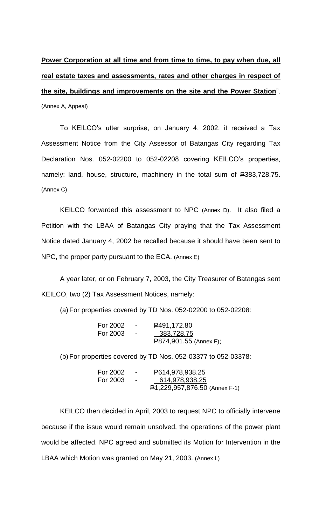# **Power Corporation at all time and from time to time, to pay when due, all real estate taxes and assessments, rates and other charges in respect of the site, buildings and improvements on the site and the Power Station**".

(Annex A, Appeal)

To KEILCO's utter surprise, on January 4, 2002, it received a Tax Assessment Notice from the City Assessor of Batangas City regarding Tax Declaration Nos. 052-02200 to 052-02208 covering KEILCO's properties, namely: land, house, structure, machinery in the total sum of P383,728.75. (Annex C)

KEILCO forwarded this assessment to NPC (Annex D). It also filed a Petition with the LBAA of Batangas City praying that the Tax Assessment Notice dated January 4, 2002 be recalled because it should have been sent to NPC, the proper party pursuant to the ECA. (Annex E)

A year later, or on February 7, 2003, the City Treasurer of Batangas sent KEILCO, two (2) Tax Assessment Notices, namely:

(a) For properties covered by TD Nos. 052-02200 to 052-02208:

| For 2002 | $\sim$ | P491,172.80            |
|----------|--------|------------------------|
| For 2003 | $\sim$ | 383,728.75             |
|          |        | P874,901.55 (Annex F); |

(b) For properties covered by TD Nos. 052-03377 to 052-03378:

| For 2002 |                | P614,978,938.25               |
|----------|----------------|-------------------------------|
| For 2003 | $\blacksquare$ | 614,978,938.25                |
|          |                | P1,229,957,876.50 (Annex F-1) |

KEILCO then decided in April, 2003 to request NPC to officially intervene because if the issue would remain unsolved, the operations of the power plant would be affected. NPC agreed and submitted its Motion for Intervention in the LBAA which Motion was granted on May 21, 2003. (Annex L)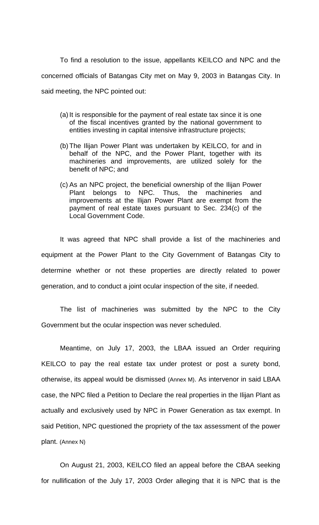To find a resolution to the issue, appellants KEILCO and NPC and the concerned officials of Batangas City met on May 9, 2003 in Batangas City. In said meeting, the NPC pointed out:

- (a) It is responsible for the payment of real estate tax since it is one of the fiscal incentives granted by the national government to entities investing in capital intensive infrastructure projects;
- (b) The Ilijan Power Plant was undertaken by KEILCO, for and in behalf of the NPC, and the Power Plant, together with its machineries and improvements, are utilized solely for the benefit of NPC; and
- (c) As an NPC project, the beneficial ownership of the Ilijan Power Plant belongs to NPC. Thus, the machineries and improvements at the Ilijan Power Plant are exempt from the payment of real estate taxes pursuant to Sec. 234(c) of the Local Government Code.

It was agreed that NPC shall provide a list of the machineries and equipment at the Power Plant to the City Government of Batangas City to determine whether or not these properties are directly related to power generation, and to conduct a joint ocular inspection of the site, if needed.

The list of machineries was submitted by the NPC to the City Government but the ocular inspection was never scheduled.

Meantime, on July 17, 2003, the LBAA issued an Order requiring KEILCO to pay the real estate tax under protest or post a surety bond, otherwise, its appeal would be dismissed (Annex M). As intervenor in said LBAA case, the NPC filed a Petition to Declare the real properties in the Ilijan Plant as actually and exclusively used by NPC in Power Generation as tax exempt. In said Petition, NPC questioned the propriety of the tax assessment of the power plant. (Annex N)

On August 21, 2003, KEILCO filed an appeal before the CBAA seeking for nullification of the July 17, 2003 Order alleging that it is NPC that is the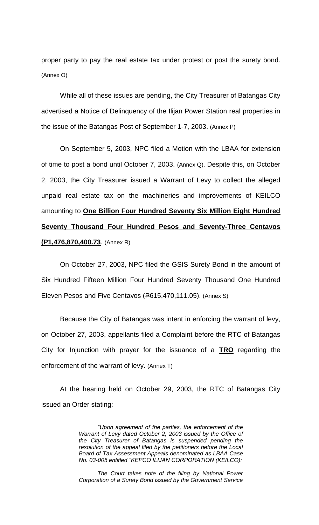proper party to pay the real estate tax under protest or post the surety bond. (Annex O)

While all of these issues are pending, the City Treasurer of Batangas City advertised a Notice of Delinquency of the Ilijan Power Station real properties in the issue of the Batangas Post of September 1-7, 2003. (Annex P)

On September 5, 2003, NPC filed a Motion with the LBAA for extension of time to post a bond until October 7, 2003. (Annex Q). Despite this, on October 2, 2003, the City Treasurer issued a Warrant of Levy to collect the alleged unpaid real estate tax on the machineries and improvements of KEILCO amounting to **One Billion Four Hundred Seventy Six Million Eight Hundred Seventy Thousand Four Hundred Pesos and Seventy-Three Centavos (P1,476,870,400.73**. (Annex R)

On October 27, 2003, NPC filed the GSIS Surety Bond in the amount of Six Hundred Fifteen Million Four Hundred Seventy Thousand One Hundred Eleven Pesos and Five Centavos (P615,470,111.05). (Annex S)

Because the City of Batangas was intent in enforcing the warrant of levy, on October 27, 2003, appellants filed a Complaint before the RTC of Batangas City for Injunction with prayer for the issuance of a **TRO** regarding the enforcement of the warrant of levy. (Annex T)

At the hearing held on October 29, 2003, the RTC of Batangas City issued an Order stating:

> *"Upon agreement of the parties, the enforcement of the Warrant of Levy dated October 2, 2003 issued by the Office of the City Treasurer of Batangas is suspended pending the resolution of the appeal filed by the petitioners before the Local Board of Tax Assessment Appeals denominated as LBAA Case No. 03-005 entitled "KEPCO ILIJAN CORPORATION (KEILCO):*

> *The Court takes note of the filing by National Power Corporation of a Surety Bond issued by the Government Service*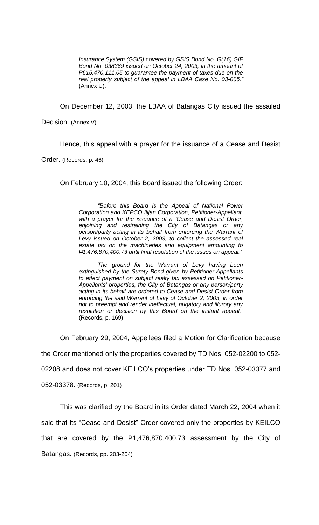*Insurance System (GSIS) covered by GSIS Bond No. G(16) GIF Bond No. 038369 issued on October 24, 2003, in the amount of P615,470,111.05 to guarantee the payment of taxes due on the real property subject of the appeal in LBAA Case No. 03-005."*  (Annex U).

On December 12, 2003, the LBAA of Batangas City issued the assailed

Decision. (Annex V)

Hence, this appeal with a prayer for the issuance of a Cease and Desist

Order. (Records, p. 46)

On February 10, 2004, this Board issued the following Order:

*"Before this Board is the Appeal of National Power Corporation and KEPCO Ilijan Corporation, Petitioner-Appellant, with a prayer for the issuance of a 'Cease and Desist Order, enjoining and restraining the City of Batangas or any person/party acting in its behalf from enforcing the Warrant of Levy issued on October 2, 2003, to collect the assessed real estate tax on the machineries and equipment amounting to P1,476,870,400.73 until final resolution of the issues on appeal.'*

*The ground for the Warrant of Levy having been extinguished by the Surety Bond given by Petitioner-Appellants to effect payment on subject realty tax assessed on Petitioner-Appellants' properties, the City of Batangas or any person/party acting in its behalf are ordered to Cease and Desist Order from enforcing the said Warrant of Levy of October 2, 2003, in order not to preempt and render ineffectual, nugatory and illurory any resolution or decision by this Board on the instant appeal."*  (Records, p. 169)

On February 29, 2004, Appellees filed a Motion for Clarification because the Order mentioned only the properties covered by TD Nos. 052-02200 to 052- 02208 and does not cover KEILCO's properties under TD Nos. 052-03377 and 052-03378. (Records, p. 201)

This was clarified by the Board in its Order dated March 22, 2004 when it said that its "Cease and Desist" Order covered only the properties by KEILCO that are covered by the P1,476,870,400.73 assessment by the City of Batangas. (Records, pp. 203-204)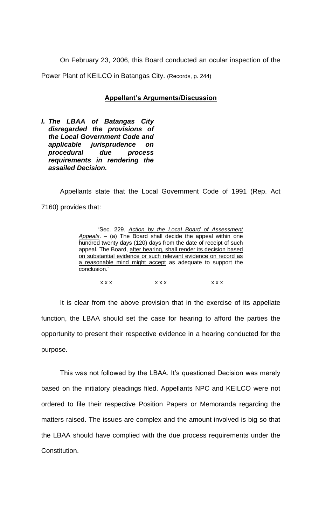On February 23, 2006, this Board conducted an ocular inspection of the Power Plant of KEILCO in Batangas City. (Records, p. 244)

#### **Appellant's Arguments/Discussion**

*I. The LBAA of Batangas City disregarded the provisions of the Local Government Code and applicable jurisprudence on procedural due process requirements in rendering the assailed Decision.*

Appellants state that the Local Government Code of 1991 (Rep. Act 7160) provides that:

| "Sec. 229. Action by the Local Board of Assessment                |
|-------------------------------------------------------------------|
| Appeals. $-$ (a) The Board shall decide the appeal within one     |
| hundred twenty days (120) days from the date of receipt of such   |
| appeal. The Board, after hearing, shall render its decision based |
| on substantial evidence or such relevant evidence on record as    |
| a reasonable mind might accept as adequate to support the         |
| conclusion."                                                      |

| <b>xxx</b> | x x x | x x x |
|------------|-------|-------|
|            |       |       |

It is clear from the above provision that in the exercise of its appellate function, the LBAA should set the case for hearing to afford the parties the opportunity to present their respective evidence in a hearing conducted for the purpose.

This was not followed by the LBAA. It's questioned Decision was merely based on the initiatory pleadings filed. Appellants NPC and KEILCO were not ordered to file their respective Position Papers or Memoranda regarding the matters raised. The issues are complex and the amount involved is big so that the LBAA should have complied with the due process requirements under the Constitution.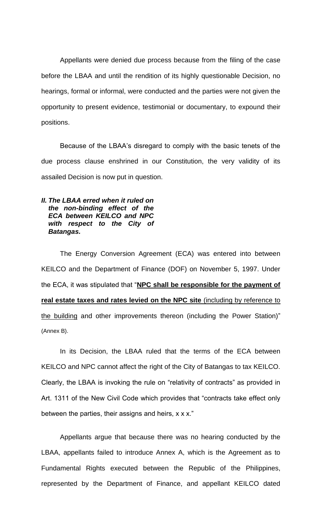Appellants were denied due process because from the filing of the case before the LBAA and until the rendition of its highly questionable Decision, no hearings, formal or informal, were conducted and the parties were not given the opportunity to present evidence, testimonial or documentary, to expound their positions.

Because of the LBAA's disregard to comply with the basic tenets of the due process clause enshrined in our Constitution, the very validity of its assailed Decision is now put in question.

# *II. The LBAA erred when it ruled on the non-binding effect of the ECA between KEILCO and NPC with respect to the City of Batangas.*

The Energy Conversion Agreement (ECA) was entered into between KEILCO and the Department of Finance (DOF) on November 5, 1997. Under the ECA, it was stipulated that "**NPC shall be responsible for the payment of real estate taxes and rates levied on the NPC site** (including by reference to the building and other improvements thereon (including the Power Station)" (Annex B).

In its Decision, the LBAA ruled that the terms of the ECA between KEILCO and NPC cannot affect the right of the City of Batangas to tax KEILCO. Clearly, the LBAA is invoking the rule on "relativity of contracts" as provided in Art. 1311 of the New Civil Code which provides that "contracts take effect only between the parties, their assigns and heirs,  $x \times x$ ."

Appellants argue that because there was no hearing conducted by the LBAA, appellants failed to introduce Annex A, which is the Agreement as to Fundamental Rights executed between the Republic of the Philippines, represented by the Department of Finance, and appellant KEILCO dated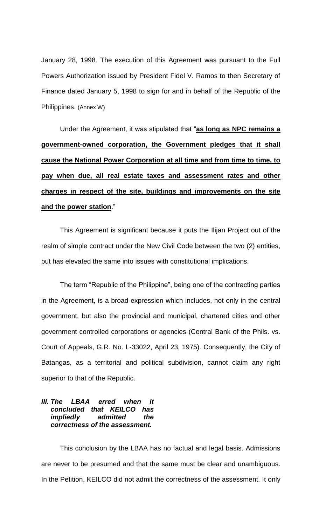January 28, 1998. The execution of this Agreement was pursuant to the Full Powers Authorization issued by President Fidel V. Ramos to then Secretary of Finance dated January 5, 1998 to sign for and in behalf of the Republic of the Philippines. (Annex W)

Under the Agreement, it was stipulated that "**as long as NPC remains a government-owned corporation, the Government pledges that it shall cause the National Power Corporation at all time and from time to time, to pay when due, all real estate taxes and assessment rates and other charges in respect of the site, buildings and improvements on the site and the power station**."

This Agreement is significant because it puts the Ilijan Project out of the realm of simple contract under the New Civil Code between the two (2) entities, but has elevated the same into issues with constitutional implications.

The term "Republic of the Philippine", being one of the contracting parties in the Agreement, is a broad expression which includes, not only in the central government, but also the provincial and municipal, chartered cities and other government controlled corporations or agencies (Central Bank of the Phils. vs. Court of Appeals, G.R. No. L-33022, April 23, 1975). Consequently, the City of Batangas, as a territorial and political subdivision, cannot claim any right superior to that of the Republic.

# *III. The LBAA erred when it concluded that KEILCO has impliedly admitted the correctness of the assessment.*

This conclusion by the LBAA has no factual and legal basis. Admissions are never to be presumed and that the same must be clear and unambiguous. In the Petition, KEILCO did not admit the correctness of the assessment. It only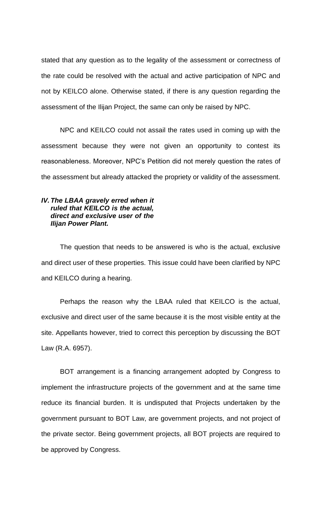stated that any question as to the legality of the assessment or correctness of the rate could be resolved with the actual and active participation of NPC and not by KEILCO alone. Otherwise stated, if there is any question regarding the assessment of the Ilijan Project, the same can only be raised by NPC.

NPC and KEILCO could not assail the rates used in coming up with the assessment because they were not given an opportunity to contest its reasonableness. Moreover, NPC's Petition did not merely question the rates of the assessment but already attacked the propriety or validity of the assessment.

### *IV. The LBAA gravely erred when it ruled that KEILCO is the actual, direct and exclusive user of the Ilijan Power Plant.*

The question that needs to be answered is who is the actual, exclusive and direct user of these properties. This issue could have been clarified by NPC and KEILCO during a hearing.

Perhaps the reason why the LBAA ruled that KEILCO is the actual, exclusive and direct user of the same because it is the most visible entity at the site. Appellants however, tried to correct this perception by discussing the BOT Law (R.A. 6957).

BOT arrangement is a financing arrangement adopted by Congress to implement the infrastructure projects of the government and at the same time reduce its financial burden. It is undisputed that Projects undertaken by the government pursuant to BOT Law, are government projects, and not project of the private sector. Being government projects, all BOT projects are required to be approved by Congress.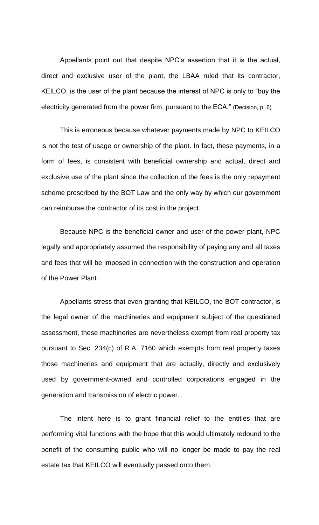Appellants point out that despite NPC's assertion that it is the actual, direct and exclusive user of the plant, the LBAA ruled that its contractor, KEILCO, is the user of the plant because the interest of NPC is only to "buy the electricity generated from the power firm, pursuant to the ECA." (Decision, p. 6)

This is erroneous because whatever payments made by NPC to KEILCO is not the test of usage or ownership of the plant. In fact, these payments, in a form of fees, is consistent with beneficial ownership and actual, direct and exclusive use of the plant since the collection of the fees is the only repayment scheme prescribed by the BOT Law and the only way by which our government can reimburse the contractor of its cost in the project.

Because NPC is the beneficial owner and user of the power plant, NPC legally and appropriately assumed the responsibility of paying any and all taxes and fees that will be imposed in connection with the construction and operation of the Power Plant.

Appellants stress that even granting that KEILCO, the BOT contractor, is the legal owner of the machineries and equipment subject of the questioned assessment, these machineries are nevertheless exempt from real property tax pursuant to Sec. 234(c) of R.A. 7160 which exempts from real property taxes those machineries and equipment that are actually, directly and exclusively used by government-owned and controlled corporations engaged in the generation and transmission of electric power.

The intent here is to grant financial relief to the entities that are performing vital functions with the hope that this would ultimately redound to the benefit of the consuming public who will no longer be made to pay the real estate tax that KEILCO will eventually passed onto them.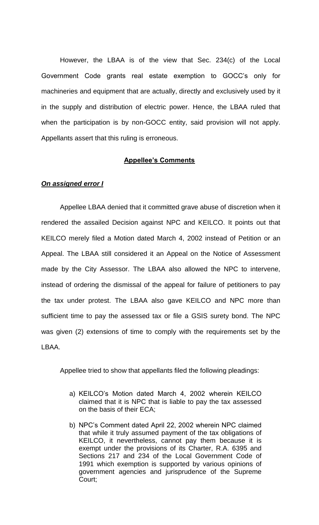However, the LBAA is of the view that Sec. 234(c) of the Local Government Code grants real estate exemption to GOCC's only for machineries and equipment that are actually, directly and exclusively used by it in the supply and distribution of electric power. Hence, the LBAA ruled that when the participation is by non-GOCC entity, said provision will not apply. Appellants assert that this ruling is erroneous.

#### **Appellee's Comments**

#### *On assigned error I*

Appellee LBAA denied that it committed grave abuse of discretion when it rendered the assailed Decision against NPC and KEILCO. It points out that KEILCO merely filed a Motion dated March 4, 2002 instead of Petition or an Appeal. The LBAA still considered it an Appeal on the Notice of Assessment made by the City Assessor. The LBAA also allowed the NPC to intervene, instead of ordering the dismissal of the appeal for failure of petitioners to pay the tax under protest. The LBAA also gave KEILCO and NPC more than sufficient time to pay the assessed tax or file a GSIS surety bond. The NPC was given (2) extensions of time to comply with the requirements set by the LBAA.

Appellee tried to show that appellants filed the following pleadings:

- a) KEILCO's Motion dated March 4, 2002 wherein KEILCO claimed that it is NPC that is liable to pay the tax assessed on the basis of their ECA;
- b) NPC's Comment dated April 22, 2002 wherein NPC claimed that while it truly assumed payment of the tax obligations of KEILCO, it nevertheless, cannot pay them because it is exempt under the provisions of its Charter, R.A. 6395 and Sections 217 and 234 of the Local Government Code of 1991 which exemption is supported by various opinions of government agencies and jurisprudence of the Supreme Court;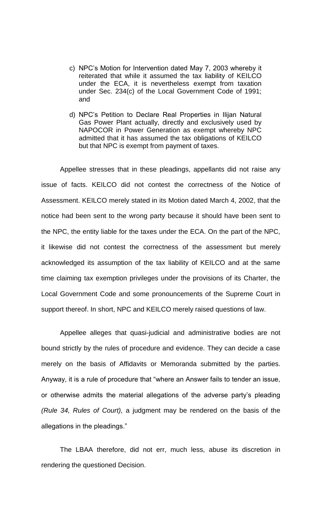- c) NPC's Motion for Intervention dated May 7, 2003 whereby it reiterated that while it assumed the tax liability of KEILCO under the ECA, it is nevertheless exempt from taxation under Sec. 234(c) of the Local Government Code of 1991; and
- d) NPC's Petition to Declare Real Properties in Ilijan Natural Gas Power Plant actually, directly and exclusively used by NAPOCOR in Power Generation as exempt whereby NPC admitted that it has assumed the tax obligations of KEILCO but that NPC is exempt from payment of taxes.

Appellee stresses that in these pleadings, appellants did not raise any issue of facts. KEILCO did not contest the correctness of the Notice of Assessment. KEILCO merely stated in its Motion dated March 4, 2002, that the notice had been sent to the wrong party because it should have been sent to the NPC, the entity liable for the taxes under the ECA. On the part of the NPC, it likewise did not contest the correctness of the assessment but merely acknowledged its assumption of the tax liability of KEILCO and at the same time claiming tax exemption privileges under the provisions of its Charter, the Local Government Code and some pronouncements of the Supreme Court in support thereof. In short, NPC and KEILCO merely raised questions of law.

Appellee alleges that quasi-judicial and administrative bodies are not bound strictly by the rules of procedure and evidence. They can decide a case merely on the basis of Affidavits or Memoranda submitted by the parties. Anyway, it is a rule of procedure that "where an Answer fails to tender an issue, or otherwise admits the material allegations of the adverse party's pleading *(Rule 34, Rules of Court),* a judgment may be rendered on the basis of the allegations in the pleadings."

The LBAA therefore, did not err, much less, abuse its discretion in rendering the questioned Decision.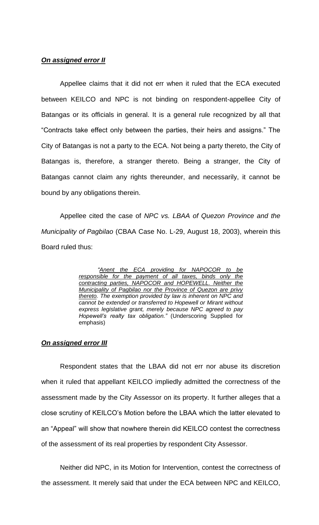### *On assigned error II*

Appellee claims that it did not err when it ruled that the ECA executed between KEILCO and NPC is not binding on respondent-appellee City of Batangas or its officials in general. It is a general rule recognized by all that "Contracts take effect only between the parties, their heirs and assigns." The City of Batangas is not a party to the ECA. Not being a party thereto, the City of Batangas is, therefore, a stranger thereto. Being a stranger, the City of Batangas cannot claim any rights thereunder, and necessarily, it cannot be bound by any obligations therein.

Appellee cited the case of *NPC vs. LBAA of Quezon Province and the Municipality of Pagbilao* (CBAA Case No. L-29, August 18, 2003), wherein this Board ruled thus:

> *"Anent the ECA providing for NAPOCOR to be responsible for the payment of all taxes, binds only the contracting parties, NAPOCOR and HOPEWELL. Neither the Municipality of Pagbilao nor the Province of Quezon are privy thereto. The exemption provided by law is inherent on NPC and cannot be extended or transferred to Hopewell or Mirant without express legislative grant, merely because NPC agreed to pay Hopewell's realty tax obligation."* (Underscoring Supplied for emphasis)

#### *On assigned error III*

Respondent states that the LBAA did not err nor abuse its discretion when it ruled that appellant KEILCO impliedly admitted the correctness of the assessment made by the City Assessor on its property. It further alleges that a close scrutiny of KEILCO's Motion before the LBAA which the latter elevated to an "Appeal" will show that nowhere therein did KEILCO contest the correctness of the assessment of its real properties by respondent City Assessor.

Neither did NPC, in its Motion for Intervention, contest the correctness of the assessment. It merely said that under the ECA between NPC and KEILCO,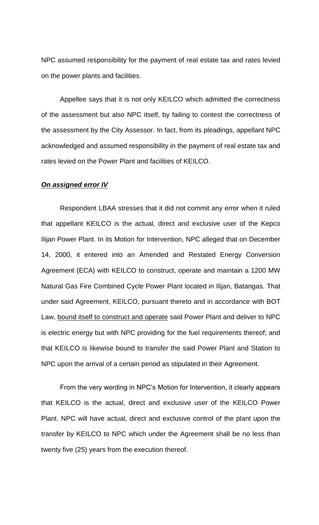NPC assumed responsibility for the payment of real estate tax and rates levied on the power plants and facilities.

Appellee says that it is not only KEILCO which admitted the correctness of the assessment but also NPC itself, by failing to contest the correctness of the assessment by the City Assessor. In fact, from its pleadings, appellant NPC acknowledged and assumed responsibility in the payment of real estate tax and rates levied on the Power Plant and facilities of KEILCO.

#### *On assigned error IV*

Respondent LBAA stresses that it did not commit any error when it ruled that appellant KEILCO is the actual, direct and exclusive user of the Kepco Ilijan Power Plant. In its Motion for Intervention, NPC alleged that on December 14, 2000, it entered into an Amended and Restated Energy Conversion Agreement (ECA) with KEILCO to construct, operate and maintain a 1200 MW Natural Gas Fire Combined Cycle Power Plant located in Ilijan, Batangas. That under said Agreement, KEILCO, pursuant thereto and in accordance with BOT Law, bound itself to construct and operate said Power Plant and deliver to NPC is electric energy but with NPC providing for the fuel requirements thereof; and that KEILCO is likewise bound to transfer the said Power Plant and Station to NPC upon the arrival of a certain period as stipulated in their Agreement.

From the very wording in NPC's Motion for Intervention, it clearly appears that KEILCO is the actual, direct and exclusive user of the KEILCO Power Plant. NPC will have actual, direct and exclusive control of the plant upon the transfer by KEILCO to NPC which under the Agreement shall be no less than twenty five (25) years from the execution thereof.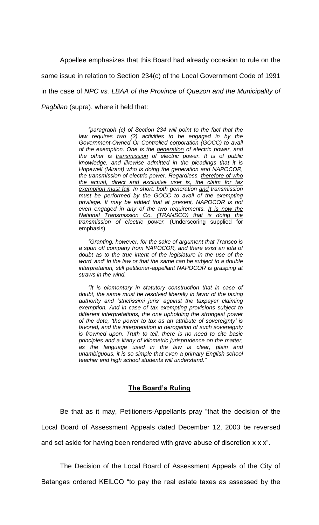Appellee emphasizes that this Board had already occasion to rule on the same issue in relation to Section 234(c) of the Local Government Code of 1991 in the case of *NPC vs. LBAA of the Province of Quezon and the Municipality of Pagbilao* (supra), where it held that:

> "paragraph (c) of Section 234 will point to the fact that the *law requires two (2) activities to be engaged in by the Government-Owned Or Controlled corporation (GOCC) to avail of the exemption. One is the generation of electric power, and the other is transmission of electric power. It is of public knowledge, and likewise admitted in the pleadings that it is Hopewell (Mirant) who is doing the generation and NAPOCOR, the transmission of electric power. Regardless, therefore of who the actual, direct and exclusive user is, the claim for tax exemption must fail. In short, both generation and transmission must be performed by the GOCC to avail of the exempting privilege. It may be added that at present, NAPOCOR is not even engaged in any of the two requirements. It is now the National Transmission Co. (TRANSCO) that is doing the transmission of electric power.* (Underscoring supplied for emphasis)

> *"Granting, however, for the sake of argument that Transco is a spun off company from NAPOCOR, and there exist an iota of doubt as to the true intent of the legislature in the use of the word 'and' in the law or that the same can be subject to a double interpretation, still petitioner-appellant NAPOCOR is grasping at straws in the wind.*

> *"It is elementary in statutory construction that in case of doubt, the same must be resolved liberally in favor of the taxing authority and 'strictissimi juris' against the taxpayer claiming exemption. And in case of tax exempting provisions subject to different interpretations, the one upholding the strongest power of the date, 'the power to tax as an attribute of sovereignty' is favored, and the interpretation in derogation of such sovereignty is frowned upon. Truth to tell, there is no need to cite basic principles and a litany of kilometric jurisprudence on the matter, as the language used in the law is clear, plain and unambiguous, it is so simple that even a primary English school teacher and high school students will understand."*

#### **The Board's Ruling**

Be that as it may, Petitioners-Appellants pray "that the decision of the Local Board of Assessment Appeals dated December 12, 2003 be reversed and set aside for having been rendered with grave abuse of discretion x x x".

The Decision of the Local Board of Assessment Appeals of the City of

Batangas ordered KEILCO "to pay the real estate taxes as assessed by the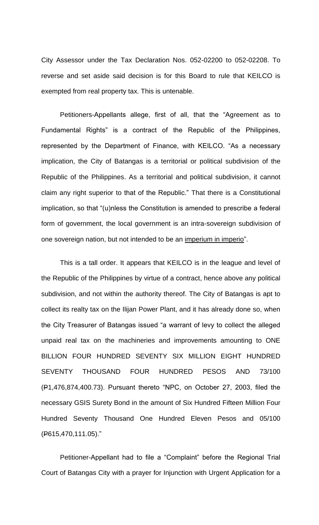City Assessor under the Tax Declaration Nos. 052-02200 to 052-02208. To reverse and set aside said decision is for this Board to rule that KEILCO is exempted from real property tax. This is untenable.

Petitioners-Appellants allege, first of all, that the "Agreement as to Fundamental Rights" is a contract of the Republic of the Philippines, represented by the Department of Finance, with KEILCO. "As a necessary implication, the City of Batangas is a territorial or political subdivision of the Republic of the Philippines. As a territorial and political subdivision, it cannot claim any right superior to that of the Republic." That there is a Constitutional implication, so that "(u)nless the Constitution is amended to prescribe a federal form of government, the local government is an intra-sovereign subdivision of one sovereign nation, but not intended to be an imperium in imperio".

This is a tall order. It appears that KEILCO is in the league and level of the Republic of the Philippines by virtue of a contract, hence above any political subdivision, and not within the authority thereof. The City of Batangas is apt to collect its realty tax on the Ilijan Power Plant, and it has already done so, when the City Treasurer of Batangas issued "a warrant of levy to collect the alleged unpaid real tax on the machineries and improvements amounting to ONE BILLION FOUR HUNDRED SEVENTY SIX MILLION EIGHT HUNDRED SEVENTY THOUSAND FOUR HUNDRED PESOS AND 73/100 (P1,476,874,400.73). Pursuant thereto "NPC, on October 27, 2003, filed the necessary GSIS Surety Bond in the amount of Six Hundred Fifteen Million Four Hundred Seventy Thousand One Hundred Eleven Pesos and 05/100 (P615,470,111.05)."

Petitioner-Appellant had to file a "Complaint" before the Regional Trial Court of Batangas City with a prayer for Injunction with Urgent Application for a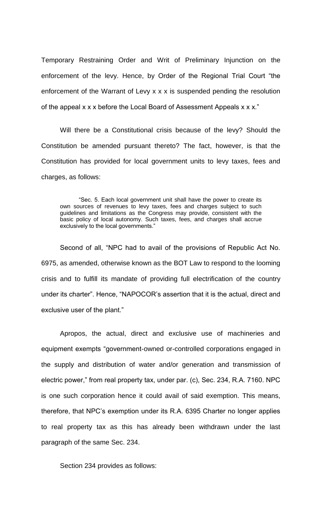Temporary Restraining Order and Writ of Preliminary Injunction on the enforcement of the levy. Hence, by Order of the Regional Trial Court "the enforcement of the Warrant of Levy x x x is suspended pending the resolution of the appeal x x x before the Local Board of Assessment Appeals x x x."

Will there be a Constitutional crisis because of the levy? Should the Constitution be amended pursuant thereto? The fact, however, is that the Constitution has provided for local government units to levy taxes, fees and charges, as follows:

"Sec. 5. Each local government unit shall have the power to create its own sources of revenues to levy taxes, fees and charges subject to such guidelines and limitations as the Congress may provide, consistent with the basic policy of local autonomy. Such taxes, fees, and charges shall accrue exclusively to the local governments."

Second of all, "NPC had to avail of the provisions of Republic Act No. 6975, as amended, otherwise known as the BOT Law to respond to the looming crisis and to fulfill its mandate of providing full electrification of the country under its charter". Hence, "NAPOCOR's assertion that it is the actual, direct and exclusive user of the plant."

Apropos, the actual, direct and exclusive use of machineries and equipment exempts "government-owned or-controlled corporations engaged in the supply and distribution of water and/or generation and transmission of electric power," from real property tax, under par. (c), Sec. 234, R.A. 7160. NPC is one such corporation hence it could avail of said exemption. This means, therefore, that NPC's exemption under its R.A. 6395 Charter no longer applies to real property tax as this has already been withdrawn under the last paragraph of the same Sec. 234.

Section 234 provides as follows: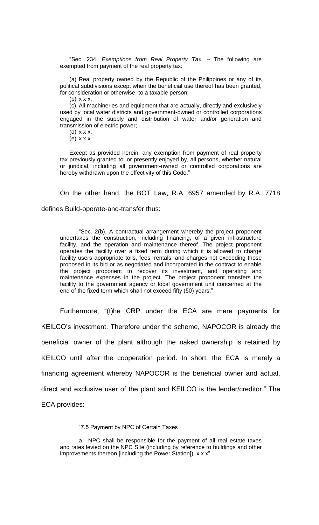"Sec. 234. *Exemptions from Real Property Tax.* – The following are exempted from payment of the real property tax:

(a) Real property owned by the Republic of the Philippines or any of its political subdivisions except when the beneficial use thereof has been granted, for consideration or otherwise, to a taxable person;

(b) x x x;

(c) All machineries and equipment that are actually, directly and exclusively used by local water districts and government-owned or controlled corporations engaged in the supply and distribution of water and/or generation and transmission of electric power;

(d) x x x;

(e) x x x

Except as provided herein, any exemption from payment of real property tax previously granted to, or presently enjoyed by, all persons, whether natural or juridical, including all government-owned or controlled corporations are hereby withdrawn upon the effectivity of this Code."

On the other hand, the BOT Law, R.A. 6957 amended by R.A. 7718

#### defines Build-operate-and-transfer thus:

"Sec. 2(b). A contractual arrangement whereby the project proponent undertakes the construction, including financing, of a given infrastructure facility, and the operation and maintenance thereof. The project proponent operates the facility over a fixed term during which it is allowed to charge facility users appropriate tolls, fees, rentals, and charges not exceeding those proposed in its bid or as negotiated and incorporated in the contract to enable the project proponent to recover its investment, and operating and maintenance expenses in the project. The project proponent transfers the facility to the government agency or local government unit concerned at the end of the fixed term which shall not exceed fifty (50) years."

Furthermore, "(t)he CRP under the ECA are mere payments for KEILCO's investment. Therefore under the scheme, NAPOCOR is already the beneficial owner of the plant although the naked ownership is retained by KEILCO until after the cooperation period. In short, the ECA is merely a financing agreement whereby NAPOCOR is the beneficial owner and actual, direct and exclusive user of the plant and KEILCO is the lender/creditor." The ECA provides:

"7.5 Payment by NPC of Certain Taxes

a. NPC shall be responsible for the payment of all real estate taxes and rates levied on the NPC Site (including by reference to buildings and other improvements thereon [including the Power Station]). x x x"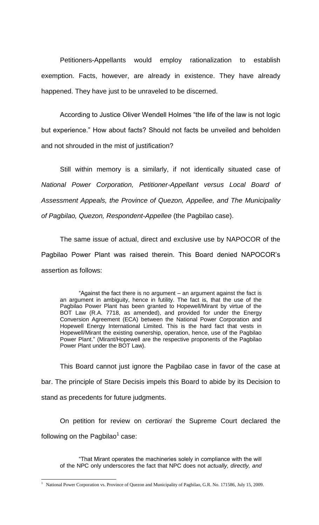Petitioners-Appellants would employ rationalization to establish exemption. Facts, however, are already in existence. They have already happened. They have just to be unraveled to be discerned.

According to Justice Oliver Wendell Holmes "the life of the law is not logic but experience." How about facts? Should not facts be unveiled and beholden and not shrouded in the mist of justification?

Still within memory is a similarly, if not identically situated case of *National Power Corporation, Petitioner-Appellant versus Local Board of Assessment Appeals, the Province of Quezon, Appellee, and The Municipality of Pagbilao, Quezon, Respondent-Appellee* (the Pagbilao case).

The same issue of actual, direct and exclusive use by NAPOCOR of the Pagbilao Power Plant was raised therein. This Board denied NAPOCOR's assertion as follows:

"Against the fact there is no argument – an argument against the fact is an argument in ambiguity, hence in futility. The fact is, that the use of the Pagbilao Power Plant has been granted to Hopewell/Mirant by virtue of the BOT Law (R.A. 7718, as amended), and provided for under the Energy Conversion Agreement (ECA) between the National Power Corporation and Hopewell Energy International Limited. This is the hard fact that vests in Hopewell/Mirant the existing ownership, operation, hence, use of the Pagbilao Power Plant." (Mirant/Hopewell are the respective proponents of the Pagbilao Power Plant under the BOT Law).

This Board cannot just ignore the Pagbilao case in favor of the case at bar. The principle of Stare Decisis impels this Board to abide by its Decision to stand as precedents for future judgments.

On petition for review on *certiorari* the Supreme Court declared the following on the Pagbilao $^1$  case:

"That Mirant operates the machineries solely in compliance with the will of the NPC only underscores the fact that NPC does not *actually, directly, and* 

 $\overline{a}$ 

<sup>&</sup>lt;sup>1</sup> National Power Corporation vs. Province of Quezon and Municipality of Pagbilao, G.R. No. 171586, July 15, 2009.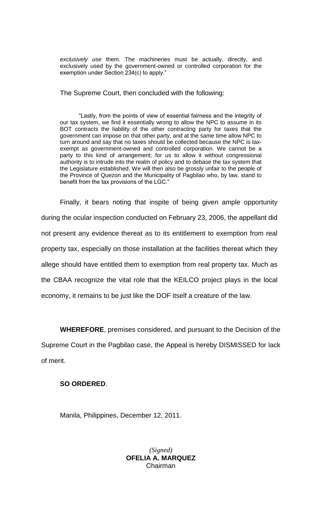*exclusively use* them. The machineries must be actually, directly, and exclusively used by the government-owned or controlled corporation for the exemption under Section 234(c) to apply."

The Supreme Court, then concluded with the following:

"Lastly, from the points of view of essential fairness and the integrity of our tax system, we find it essentially wrong to allow the NPC to assume in its BOT contracts the liability of the other contracting party for taxes that the government can impose on that other party, and at the same time allow NPC to turn around and say that no taxes should be collected because the NPC is taxexempt as government-owned and controlled corporation. We cannot be a party to this kind of arrangement; for us to allow it without congressional authority is to intrude into the realm of policy and to debase the tax system that the Legislature established. We will then also be grossly unfair to the people of the Province of Quezon and the Municipality of Pagbilao who, by law, stand to benefit from the tax provisions of the LGC."

Finally, it bears noting that inspite of being given ample opportunity during the ocular inspection conducted on February 23, 2006, the appellant did not present any evidence thereat as to its entitlement to exemption from real property tax, especially on those installation at the facilities thereat which they allege should have entitled them to exemption from real property tax. Much as the CBAA recognize the vital role that the KEILCO project plays in the local economy, it remains to be just like the DOF itself a creature of the law.

**WHEREFORE**, premises considered, and pursuant to the Decision of the

Supreme Court in the Pagbilao case, the Appeal is hereby DISMISSED for lack of merit.

# **SO ORDERED**.

Manila, Philippines, December 12, 2011.

*(Signed)* **OFELIA A. MARQUEZ** Chairman